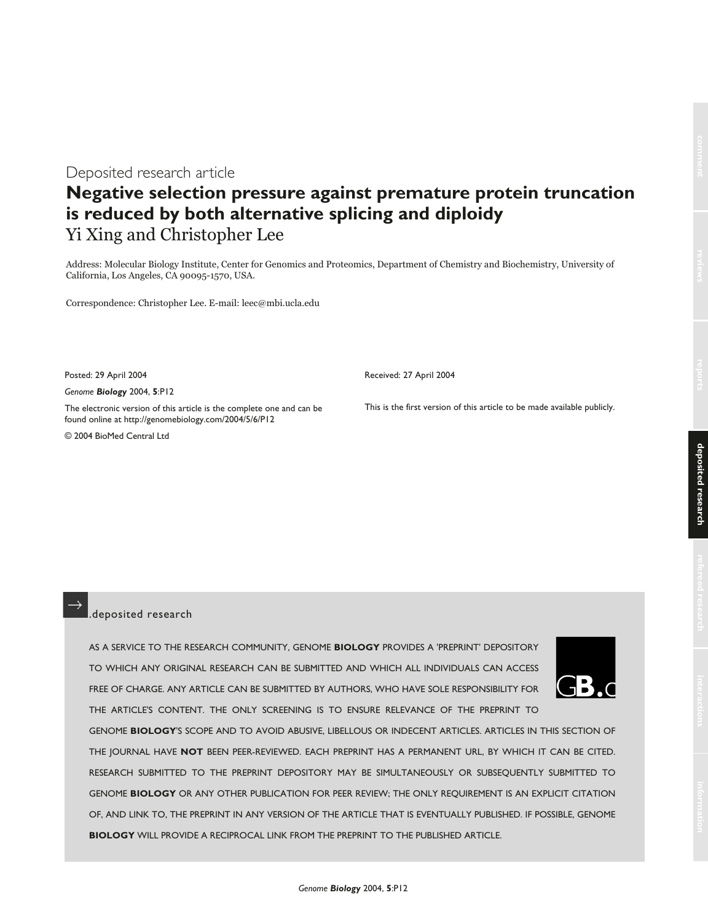Deposited research article

## **Negative selection pressure against premature protein truncation is reduced by both alternative splicing and diploidy** Yi Xing and Christopher Lee

Address: Molecular Biology Institute, Center for Genomics and Proteomics, Department of Chemistry and Biochemistry, University of California, Los Angeles, CA 90095-1570, USA.

Correspondence: Christopher Lee. E-mail: leec@mbi.ucla.edu

Posted: 29 April 2004

*Genome Biology* 2004, **5**:P12

The electronic version of this article is the complete one and can be found online at http://genomebiology.com/2004/5/6/P12

© 2004 BioMed Central Ltd

Received: 27 April 2004

This is the first version of this article to be made available publicly.

#### .deposited research

AS A SERVICE TO THE RESEARCH COMMUNITY, GENOME **BIOLOGY** PROVIDES A 'PREPRINT' DEPOSITORY TO WHICH ANY ORIGINAL RESEARCH CAN BE SUBMITTED AND WHICH ALL INDIVIDUALS CAN ACCESS FREE OF CHARGE. ANY ARTICLE CAN BE SUBMITTED BY AUTHORS, WHO HAVE SOLE RESPONSIBILITY FOR THE ARTICLE'S CONTENT. THE ONLY SCREENING IS TO ENSURE RELEVANCE OF THE PREPRINT TO



GENOME **BIOLOGY**'S SCOPE AND TO AVOID ABUSIVE, LIBELLOUS OR INDECENT ARTICLES. ARTICLES IN THIS SECTION OF THE JOURNAL HAVE **NOT** BEEN PEER-REVIEWED. EACH PREPRINT HAS A PERMANENT URL, BY WHICH IT CAN BE CITED. RESEARCH SUBMITTED TO THE PREPRINT DEPOSITORY MAY BE SIMULTANEOUSLY OR SUBSEQUENTLY SUBMITTED TO GENOME **BIOLOGY** OR ANY OTHER PUBLICATION FOR PEER REVIEW; THE ONLY REQUIREMENT IS AN EXPLICIT CITATION OF, AND LINK TO, THE PREPRINT IN ANY VERSION OF THE ARTICLE THAT IS EVENTUALLY PUBLISHED. IF POSSIBLE, GENOME **BIOLOGY** WILL PROVIDE A RECIPROCAL LINK FROM THE PREPRINT TO THE PUBLISHED ARTICLE.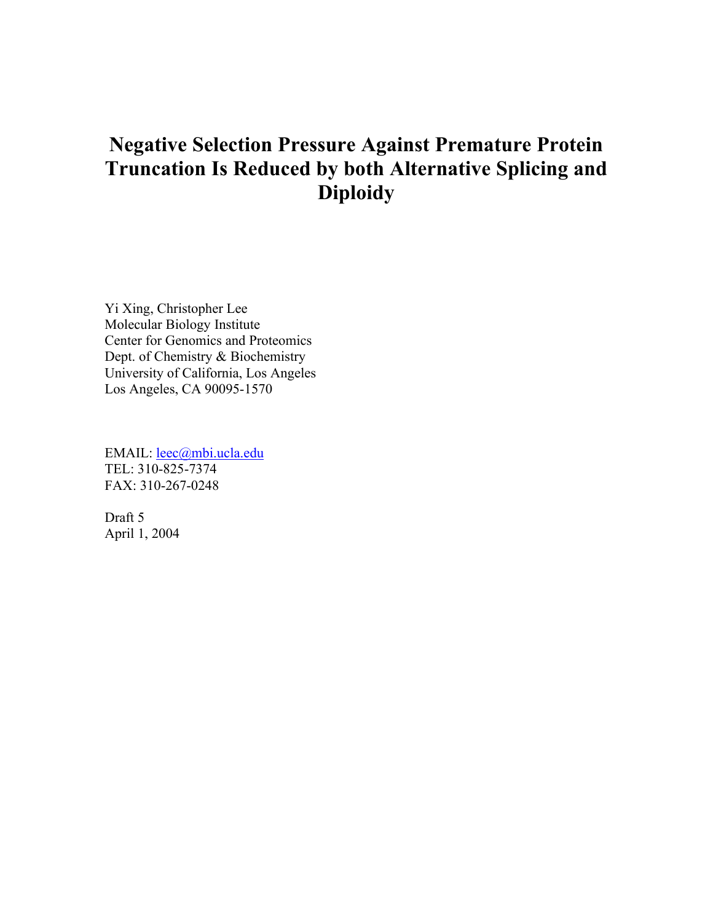# **Negative Selection Pressure Against Premature Protein Truncation Is Reduced by both Alternative Splicing and Diploidy**

Yi Xing, Christopher Lee Molecular Biology Institute Center for Genomics and Proteomics Dept. of Chemistry & Biochemistry University of California, Los Angeles Los Angeles, CA 90095-1570

EMAIL: leec@mbi.ucla.edu TEL: 310-825-7374 FAX: 310-267-0248

Draft 5 April 1, 2004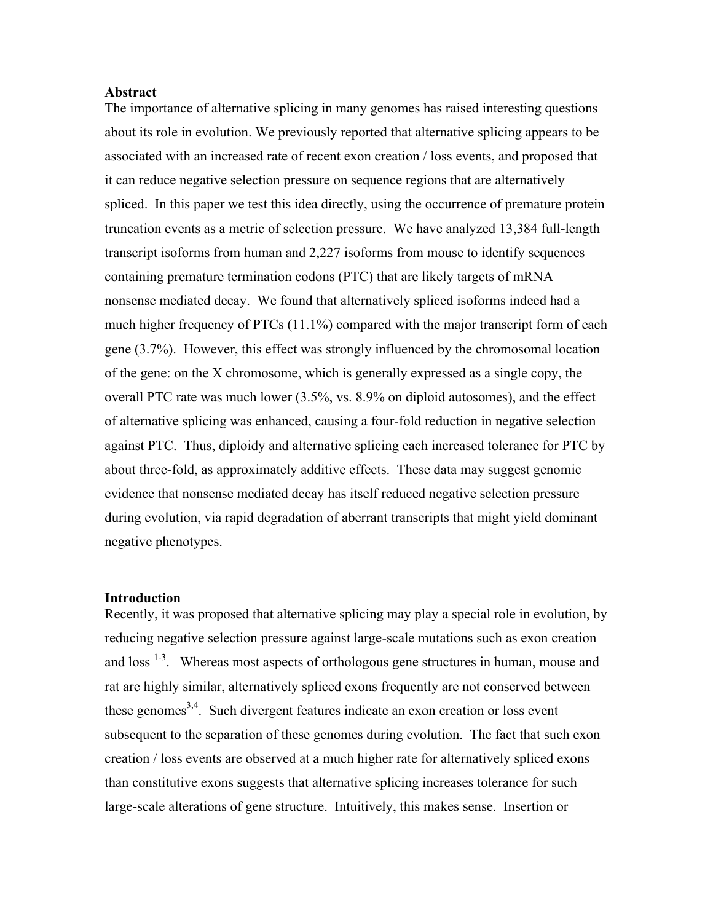#### **Abstract**

The importance of alternative splicing in many genomes has raised interesting questions about its role in evolution. We previously reported that alternative splicing appears to be associated with an increased rate of recent exon creation / loss events, and proposed that it can reduce negative selection pressure on sequence regions that are alternatively spliced. In this paper we test this idea directly, using the occurrence of premature protein truncation events as a metric of selection pressure. We have analyzed 13,384 full-length transcript isoforms from human and 2,227 isoforms from mouse to identify sequences containing premature termination codons (PTC) that are likely targets of mRNA nonsense mediated decay. We found that alternatively spliced isoforms indeed had a much higher frequency of PTCs (11.1%) compared with the major transcript form of each gene (3.7%). However, this effect was strongly influenced by the chromosomal location of the gene: on the X chromosome, which is generally expressed as a single copy, the overall PTC rate was much lower (3.5%, vs. 8.9% on diploid autosomes), and the effect of alternative splicing was enhanced, causing a four-fold reduction in negative selection against PTC. Thus, diploidy and alternative splicing each increased tolerance for PTC by about three-fold, as approximately additive effects. These data may suggest genomic evidence that nonsense mediated decay has itself reduced negative selection pressure during evolution, via rapid degradation of aberrant transcripts that might yield dominant negative phenotypes.

#### **Introduction**

Recently, it was proposed that alternative splicing may play a special role in evolution, by reducing negative selection pressure against large-scale mutations such as exon creation and loss  $1-3$ . Whereas most aspects of orthologous gene structures in human, mouse and rat are highly similar, alternatively spliced exons frequently are not conserved between these genomes<sup>3,4</sup>. Such divergent features indicate an exon creation or loss event subsequent to the separation of these genomes during evolution. The fact that such exon creation / loss events are observed at a much higher rate for alternatively spliced exons than constitutive exons suggests that alternative splicing increases tolerance for such large-scale alterations of gene structure. Intuitively, this makes sense. Insertion or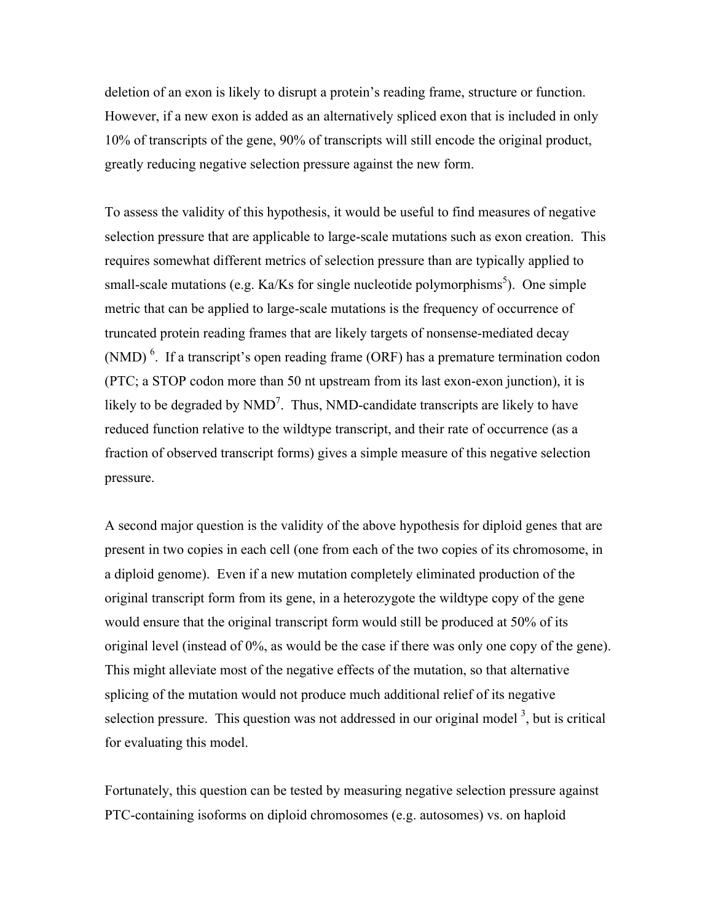deletion of an exon is likely to disrupt a protein's reading frame, structure or function. However, if a new exon is added as an alternatively spliced exon that is included in only 10% of transcripts of the gene, 90% of transcripts will still encode the original product, greatly reducing negative selection pressure against the new form.

To assess the validity of this hypothesis, it would be useful to find measures of negative selection pressure that are applicable to large-scale mutations such as exon creation. This requires somewhat different metrics of selection pressure than are typically applied to small-scale mutations (e.g. Ka/Ks for single nucleotide polymorphisms<sup>5</sup>). One simple metric that can be applied to large-scale mutations is the frequency of occurrence of truncated protein reading frames that are likely targets of nonsense-mediated decay (NMD)<sup>6</sup>. If a transcript's open reading frame (ORF) has a premature termination codon (PTC; a STOP codon more than 50 nt upstream from its last exon-exon junction), it is likely to be degraded by  $NMD<sup>7</sup>$ . Thus, NMD-candidate transcripts are likely to have reduced function relative to the wildtype transcript, and their rate of occurrence (as a fraction of observed transcript forms) gives a simple measure of this negative selection pressure.

A second major question is the validity of the above hypothesis for diploid genes that are present in two copies in each cell (one from each of the two copies of its chromosome, in a diploid genome). Even if a new mutation completely eliminated production of the original transcript form from its gene, in a heterozygote the wildtype copy of the gene would ensure that the original transcript form would still be produced at 50% of its original level (instead of 0%, as would be the case if there was only one copy of the gene). This might alleviate most of the negative effects of the mutation, so that alternative splicing of the mutation would not produce much additional relief of its negative selection pressure. This question was not addressed in our original model  $3$ , but is critical for evaluating this model.

Fortunately, this question can be tested by measuring negative selection pressure against PTC-containing isoforms on diploid chromosomes (e.g. autosomes) vs. on haploid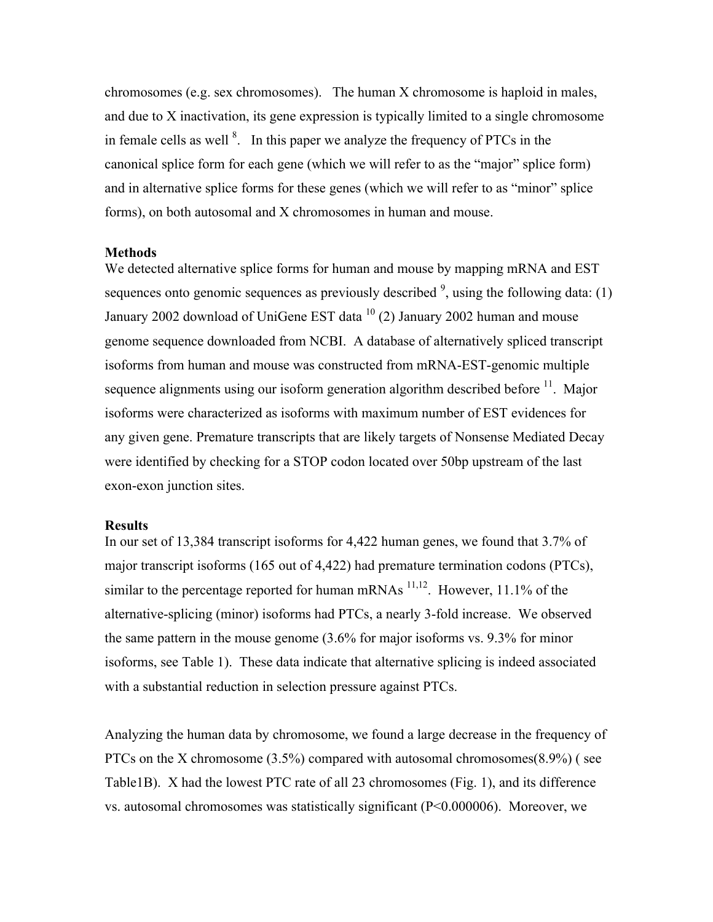chromosomes (e.g. sex chromosomes). The human X chromosome is haploid in males, and due to X inactivation, its gene expression is typically limited to a single chromosome in female cells as well  $\delta$ . In this paper we analyze the frequency of PTCs in the canonical splice form for each gene (which we will refer to as the "major" splice form) and in alternative splice forms for these genes (which we will refer to as "minor" splice forms), on both autosomal and X chromosomes in human and mouse.

#### **Methods**

We detected alternative splice forms for human and mouse by mapping mRNA and EST sequences onto genomic sequences as previously described  $\frac{9}{2}$ , using the following data: (1) January 2002 download of UniGene EST data <sup>10</sup> (2) January 2002 human and mouse genome sequence downloaded from NCBI. A database of alternatively spliced transcript isoforms from human and mouse was constructed from mRNA-EST-genomic multiple sequence alignments using our isoform generation algorithm described before  $<sup>11</sup>$ . Major</sup> isoforms were characterized as isoforms with maximum number of EST evidences for any given gene. Premature transcripts that are likely targets of Nonsense Mediated Decay were identified by checking for a STOP codon located over 50bp upstream of the last exon-exon junction sites.

#### **Results**

In our set of 13,384 transcript isoforms for 4,422 human genes, we found that 3.7% of major transcript isoforms (165 out of 4,422) had premature termination codons (PTCs), similar to the percentage reported for human mRNAs  $^{11,12}$ . However, 11.1% of the alternative-splicing (minor) isoforms had PTCs, a nearly 3-fold increase. We observed the same pattern in the mouse genome (3.6% for major isoforms vs. 9.3% for minor isoforms, see Table 1). These data indicate that alternative splicing is indeed associated with a substantial reduction in selection pressure against PTCs.

Analyzing the human data by chromosome, we found a large decrease in the frequency of PTCs on the X chromosome (3.5%) compared with autosomal chromosomes(8.9%) ( see Table1B). X had the lowest PTC rate of all 23 chromosomes (Fig. 1), and its difference vs. autosomal chromosomes was statistically significant (P<0.000006). Moreover, we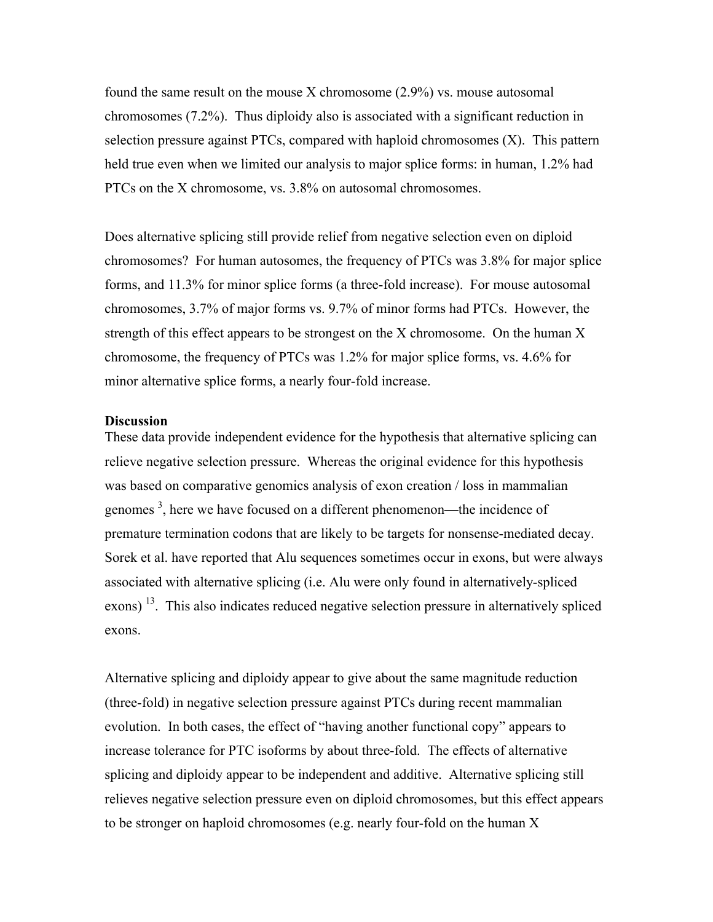found the same result on the mouse X chromosome  $(2.9\%)$  vs. mouse autosomal chromosomes (7.2%). Thus diploidy also is associated with a significant reduction in selection pressure against PTCs, compared with haploid chromosomes (X). This pattern held true even when we limited our analysis to major splice forms: in human, 1.2% had PTCs on the X chromosome, vs. 3.8% on autosomal chromosomes.

Does alternative splicing still provide relief from negative selection even on diploid chromosomes? For human autosomes, the frequency of PTCs was 3.8% for major splice forms, and 11.3% for minor splice forms (a three-fold increase). For mouse autosomal chromosomes, 3.7% of major forms vs. 9.7% of minor forms had PTCs. However, the strength of this effect appears to be strongest on the X chromosome. On the human X chromosome, the frequency of PTCs was 1.2% for major splice forms, vs. 4.6% for minor alternative splice forms, a nearly four-fold increase.

#### **Discussion**

These data provide independent evidence for the hypothesis that alternative splicing can relieve negative selection pressure. Whereas the original evidence for this hypothesis was based on comparative genomics analysis of exon creation / loss in mammalian genomes<sup>3</sup>, here we have focused on a different phenomenon—the incidence of premature termination codons that are likely to be targets for nonsense-mediated decay. Sorek et al. have reported that Alu sequences sometimes occur in exons, but were always associated with alternative splicing (i.e. Alu were only found in alternatively-spliced exons)<sup>13</sup>. This also indicates reduced negative selection pressure in alternatively spliced exons.

Alternative splicing and diploidy appear to give about the same magnitude reduction (three-fold) in negative selection pressure against PTCs during recent mammalian evolution. In both cases, the effect of "having another functional copy" appears to increase tolerance for PTC isoforms by about three-fold. The effects of alternative splicing and diploidy appear to be independent and additive. Alternative splicing still relieves negative selection pressure even on diploid chromosomes, but this effect appears to be stronger on haploid chromosomes (e.g. nearly four-fold on the human X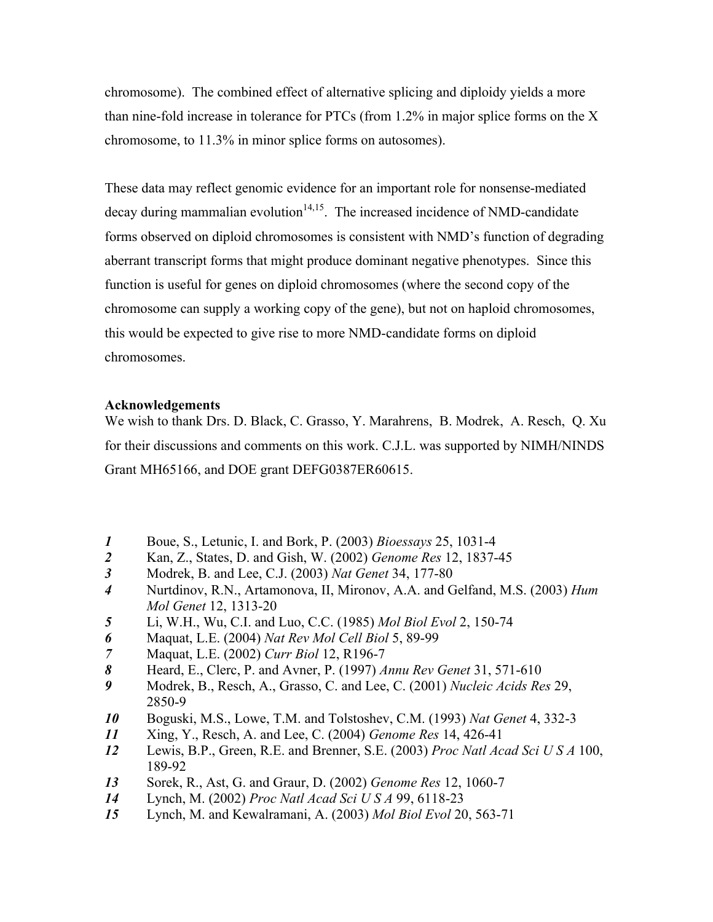chromosome). The combined effect of alternative splicing and diploidy yields a more than nine-fold increase in tolerance for PTCs (from 1.2% in major splice forms on the X chromosome, to 11.3% in minor splice forms on autosomes).

These data may reflect genomic evidence for an important role for nonsense-mediated  $decay$  during mammalian evolution<sup>14,15</sup>. The increased incidence of NMD-candidate forms observed on diploid chromosomes is consistent with NMD's function of degrading aberrant transcript forms that might produce dominant negative phenotypes. Since this function is useful for genes on diploid chromosomes (where the second copy of the chromosome can supply a working copy of the gene), but not on haploid chromosomes, this would be expected to give rise to more NMD-candidate forms on diploid chromosomes.

#### **Acknowledgements**

We wish to thank Drs. D. Black, C. Grasso, Y. Marahrens, B. Modrek, A. Resch, Q. Xu for their discussions and comments on this work. C.J.L. was supported by NIMH/NINDS Grant MH65166, and DOE grant DEFG0387ER60615.

- *1* Boue, S., Letunic, I. and Bork, P. (2003) *Bioessays* 25, 1031-4
- *2* Kan, Z., States, D. and Gish, W. (2002) *Genome Res* 12, 1837-45
- *3* Modrek, B. and Lee, C.J. (2003) *Nat Genet* 34, 177-80
- *4* Nurtdinov, R.N., Artamonova, II, Mironov, A.A. and Gelfand, M.S. (2003) *Hum Mol Genet* 12, 1313-20
- *5* Li, W.H., Wu, C.I. and Luo, C.C. (1985) *Mol Biol Evol* 2, 150-74
- *6* Maquat, L.E. (2004) *Nat Rev Mol Cell Biol* 5, 89-99
- *7* Maquat, L.E. (2002) *Curr Biol* 12, R196-7
- *8* Heard, E., Clerc, P. and Avner, P. (1997) *Annu Rev Genet* 31, 571-610
- *9* Modrek, B., Resch, A., Grasso, C. and Lee, C. (2001) *Nucleic Acids Res* 29, 2850-9
- *10* Boguski, M.S., Lowe, T.M. and Tolstoshev, C.M. (1993) *Nat Genet* 4, 332-3
- *11* Xing, Y., Resch, A. and Lee, C. (2004) *Genome Res* 14, 426-41
- *12* Lewis, B.P., Green, R.E. and Brenner, S.E. (2003) *Proc Natl Acad Sci U S A* 100, 189-92
- *13* Sorek, R., Ast, G. and Graur, D. (2002) *Genome Res* 12, 1060-7
- *14* Lynch, M. (2002) *Proc Natl Acad Sci U S A* 99, 6118-23
- *15* Lynch, M. and Kewalramani, A. (2003) *Mol Biol Evol* 20, 563-71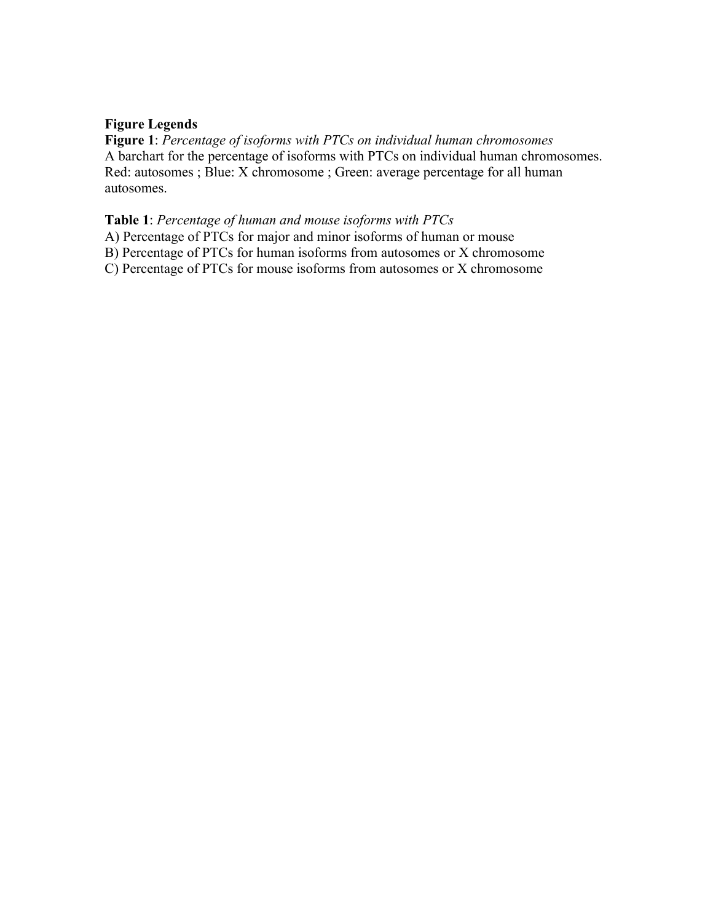#### **Figure Legends**

**Figure 1**: *Percentage of isoforms with PTCs on individual human chromosomes* A barchart for the percentage of isoforms with PTCs on individual human chromosomes. Red: autosomes ; Blue: X chromosome ; Green: average percentage for all human autosomes.

#### **Table 1**: *Percentage of human and mouse isoforms with PTCs*

- A) Percentage of PTCs for major and minor isoforms of human or mouse
- B) Percentage of PTCs for human isoforms from autosomes or X chromosome

C) Percentage of PTCs for mouse isoforms from autosomes or X chromosome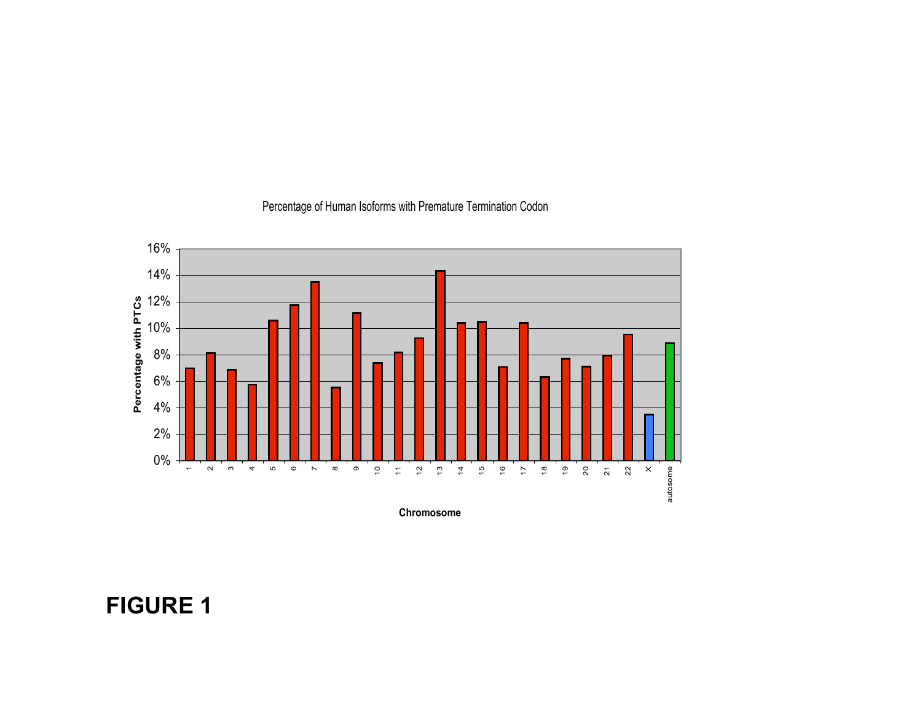

### Percentage of Human Isoforms with Premature Termination Codon

Chromosome

FIGURE 1